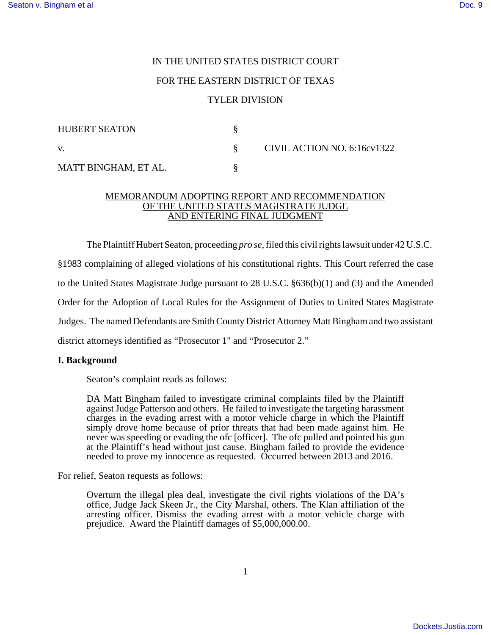# IN THE UNITED STATES DISTRICT COURT

## FOR THE EASTERN DISTRICT OF TEXAS

## TYLER DIVISION

| <b>HUBERT SEATON</b> |  | CIVIL ACTION NO. 6:16cv1322 |
|----------------------|--|-----------------------------|
| V.                   |  |                             |
| MATT BINGHAM, ET AL. |  |                             |

#### MEMORANDUM ADOPTING REPORT AND RECOMMENDATION OF THE UNITED STATES MAGISTRATE JUDGE AND ENTERING FINAL JUDGMENT

The Plaintiff Hubert Seaton, proceeding *pro se*, filed this civil rights lawsuit under 42 U.S.C.

§1983 complaining of alleged violations of his constitutional rights. This Court referred the case

to the United States Magistrate Judge pursuant to 28 U.S.C. §636(b)(1) and (3) and the Amended

Order for the Adoption of Local Rules for the Assignment of Duties to United States Magistrate

Judges. The named Defendants are Smith County District Attorney Matt Bingham and two assistant

district attorneys identified as "Prosecutor 1" and "Prosecutor 2."

#### **I. Background**

Seaton's complaint reads as follows:

DA Matt Bingham failed to investigate criminal complaints filed by the Plaintiff against Judge Patterson and others. He failed to investigate the targeting harassment charges in the evading arrest with a motor vehicle charge in which the Plaintiff simply drove home because of prior threats that had been made against him. He never was speeding or evading the ofc [officer]. The ofc pulled and pointed his gun at the Plaintiff's head without just cause. Bingham failed to provide the evidence needed to prove my innocence as requested. Occurred between 2013 and 2016.

For relief, Seaton requests as follows:

Overturn the illegal plea deal, investigate the civil rights violations of the DA's office, Judge Jack Skeen Jr., the City Marshal, others. The Klan affiliation of the arresting officer. Dismiss the evading arrest with a motor vehicle charge with prejudice. Award the Plaintiff damages of \$5,000,000.00.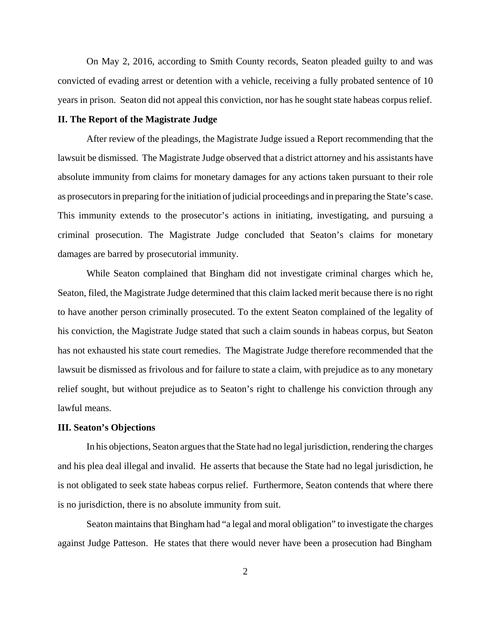On May 2, 2016, according to Smith County records, Seaton pleaded guilty to and was convicted of evading arrest or detention with a vehicle, receiving a fully probated sentence of 10 years in prison. Seaton did not appeal this conviction, nor has he sought state habeas corpus relief.

## **II. The Report of the Magistrate Judge**

After review of the pleadings, the Magistrate Judge issued a Report recommending that the lawsuit be dismissed. The Magistrate Judge observed that a district attorney and his assistants have absolute immunity from claims for monetary damages for any actions taken pursuant to their role as prosecutors in preparing for the initiation of judicial proceedings and in preparing the State's case. This immunity extends to the prosecutor's actions in initiating, investigating, and pursuing a criminal prosecution. The Magistrate Judge concluded that Seaton's claims for monetary damages are barred by prosecutorial immunity.

While Seaton complained that Bingham did not investigate criminal charges which he, Seaton, filed, the Magistrate Judge determined that this claim lacked merit because there is no right to have another person criminally prosecuted. To the extent Seaton complained of the legality of his conviction, the Magistrate Judge stated that such a claim sounds in habeas corpus, but Seaton has not exhausted his state court remedies. The Magistrate Judge therefore recommended that the lawsuit be dismissed as frivolous and for failure to state a claim, with prejudice as to any monetary relief sought, but without prejudice as to Seaton's right to challenge his conviction through any lawful means.

### **III. Seaton's Objections**

In his objections, Seaton argues that the State had no legal jurisdiction, rendering the charges and his plea deal illegal and invalid. He asserts that because the State had no legal jurisdiction, he is not obligated to seek state habeas corpus relief. Furthermore, Seaton contends that where there is no jurisdiction, there is no absolute immunity from suit.

Seaton maintains that Bingham had "a legal and moral obligation" to investigate the charges against Judge Patteson. He states that there would never have been a prosecution had Bingham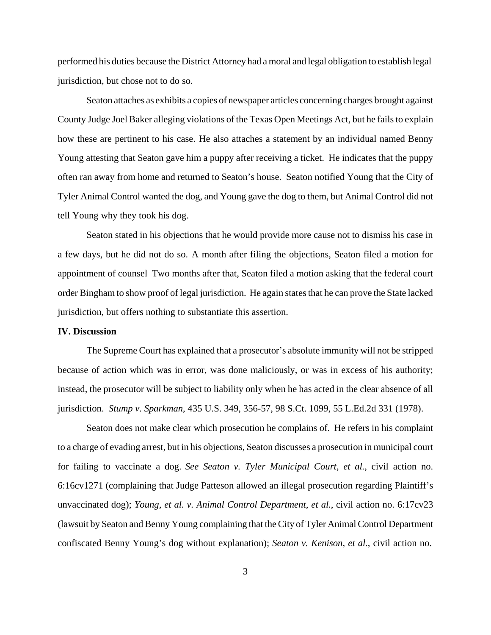performed his duties because the District Attorney had a moral and legal obligation to establish legal jurisdiction, but chose not to do so.

Seaton attaches as exhibits a copies of newspaper articles concerning charges brought against County Judge Joel Baker alleging violations of the Texas Open Meetings Act, but he fails to explain how these are pertinent to his case. He also attaches a statement by an individual named Benny Young attesting that Seaton gave him a puppy after receiving a ticket. He indicates that the puppy often ran away from home and returned to Seaton's house. Seaton notified Young that the City of Tyler Animal Control wanted the dog, and Young gave the dog to them, but Animal Control did not tell Young why they took his dog.

Seaton stated in his objections that he would provide more cause not to dismiss his case in a few days, but he did not do so. A month after filing the objections, Seaton filed a motion for appointment of counsel Two months after that, Seaton filed a motion asking that the federal court order Bingham to show proof of legal jurisdiction. He again states that he can prove the State lacked jurisdiction, but offers nothing to substantiate this assertion.

### **IV. Discussion**

The Supreme Court has explained that a prosecutor's absolute immunity will not be stripped because of action which was in error, was done maliciously, or was in excess of his authority; instead, the prosecutor will be subject to liability only when he has acted in the clear absence of all jurisdiction. *Stump v. Sparkman*, 435 U.S. 349, 356-57, 98 S.Ct. 1099, 55 L.Ed.2d 331 (1978).

Seaton does not make clear which prosecution he complains of. He refers in his complaint to a charge of evading arrest, but in his objections, Seaton discusses a prosecution in municipal court for failing to vaccinate a dog. *See Seaton v. Tyler Municipal Court, et al.*, civil action no. 6:16cv1271 (complaining that Judge Patteson allowed an illegal prosecution regarding Plaintiff's unvaccinated dog); *Young, et al. v. Animal Control Department, et al.*, civil action no. 6:17cv23 (lawsuit by Seaton and Benny Young complaining that theCity of Tyler AnimalControl Department confiscated Benny Young's dog without explanation); *Seaton v. Kenison, et al.*, civil action no.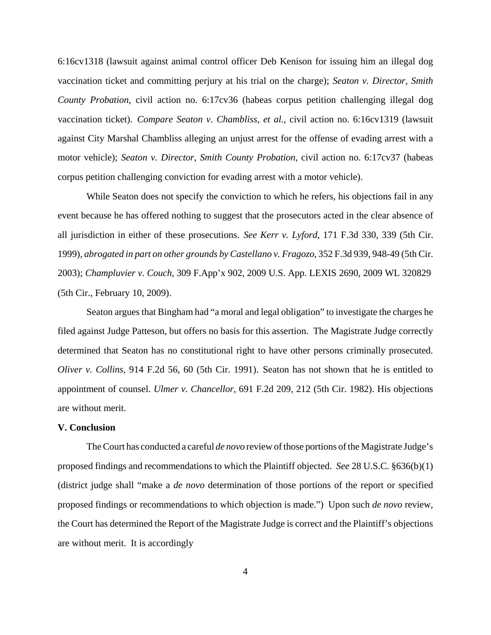6:16cv1318 (lawsuit against animal control officer Deb Kenison for issuing him an illegal dog vaccination ticket and committing perjury at his trial on the charge); *Seaton v. Director, Smith County Probation*, civil action no. 6:17cv36 (habeas corpus petition challenging illegal dog vaccination ticket). *Compare Seaton v. Chambliss, et al.*, civil action no. 6:16cv1319 (lawsuit against City Marshal Chambliss alleging an unjust arrest for the offense of evading arrest with a motor vehicle); *Seaton v. Director, Smith County Probation*, civil action no. 6:17cv37 (habeas corpus petition challenging conviction for evading arrest with a motor vehicle).

While Seaton does not specify the conviction to which he refers, his objections fail in any event because he has offered nothing to suggest that the prosecutors acted in the clear absence of all jurisdiction in either of these prosecutions. *See Kerr v. Lyford*, 171 F.3d 330, 339 (5th Cir. 1999), *abrogated in part on other grounds by Castellano v. Fragozo*, 352 F.3d 939, 948-49 (5th Cir. 2003); *Champluvier v. Couch*, 309 F.App'x 902, 2009 U.S. App. LEXIS 2690, 2009 WL 320829 (5th Cir., February 10, 2009).

Seaton argues that Bingham had "a moral and legal obligation" to investigate the charges he filed against Judge Patteson, but offers no basis for this assertion. The Magistrate Judge correctly determined that Seaton has no constitutional right to have other persons criminally prosecuted. *Oliver v. Collins*, 914 F.2d 56, 60 (5th Cir. 1991). Seaton has not shown that he is entitled to appointment of counsel. *Ulmer v. Chancellor*, 691 F.2d 209, 212 (5th Cir. 1982). His objections are without merit.

#### **V. Conclusion**

The Court has conducted a careful *de novo* review of those portions of the Magistrate Judge's proposed findings and recommendations to which the Plaintiff objected. *See* 28 U.S.C. §636(b)(1) (district judge shall "make a *de novo* determination of those portions of the report or specified proposed findings or recommendations to which objection is made.") Upon such *de novo* review, the Court has determined the Report of the Magistrate Judge is correct and the Plaintiff's objections are without merit. It is accordingly